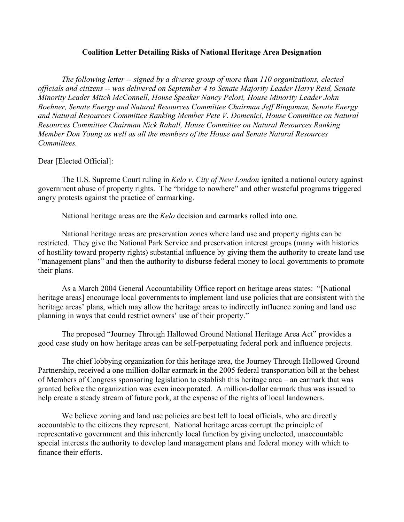## **Coalition Letter Detailing Risks of National Heritage Area Designation**

*The following letter -- signed by a diverse group of more than 110 organizations, elected officials and citizens -- was delivered on September 4 to Senate Majority Leader Harry Reid, Senate Minority Leader Mitch McConnell, House Speaker Nancy Pelosi, House Minority Leader John Boehner, Senate Energy and Natural Resources Committee Chairman Jeff Bingaman, Senate Energy and Natural Resources Committee Ranking Member Pete V. Domenici, House Committee on Natural Resources Committee Chairman Nick Rahall, House Committee on Natural Resources Ranking Member Don Young as well as all the members of the House and Senate Natural Resources Committees.*

## Dear [Elected Official]:

The U.S. Supreme Court ruling in *Kelo v. City of New London* ignited a national outcry against government abuse of property rights. The "bridge to nowhere" and other wasteful programs triggered angry protests against the practice of earmarking.

National heritage areas are the *Kelo* decision and earmarks rolled into one.

National heritage areas are preservation zones where land use and property rights can be restricted. They give the National Park Service and preservation interest groups (many with histories of hostility toward property rights) substantial influence by giving them the authority to create land use "management plans" and then the authority to disburse federal money to local governments to promote their plans.

As a March 2004 General Accountability Office report on heritage areas states: "[National heritage areas] encourage local governments to implement land use policies that are consistent with the heritage areas' plans, which may allow the heritage areas to indirectly influence zoning and land use planning in ways that could restrict owners' use of their property."

The proposed "Journey Through Hallowed Ground National Heritage Area Act" provides a good case study on how heritage areas can be self-perpetuating federal pork and influence projects.

The chief lobbying organization for this heritage area, the Journey Through Hallowed Ground Partnership, received a one million-dollar earmark in the 2005 federal transportation bill at the behest of Members of Congress sponsoring legislation to establish this heritage area – an earmark that was granted before the organization was even incorporated. A million-dollar earmark thus was issued to help create a steady stream of future pork, at the expense of the rights of local landowners.

We believe zoning and land use policies are best left to local officials, who are directly accountable to the citizens they represent. National heritage areas corrupt the principle of representative government and this inherently local function by giving unelected, unaccountable special interests the authority to develop land management plans and federal money with which to finance their efforts.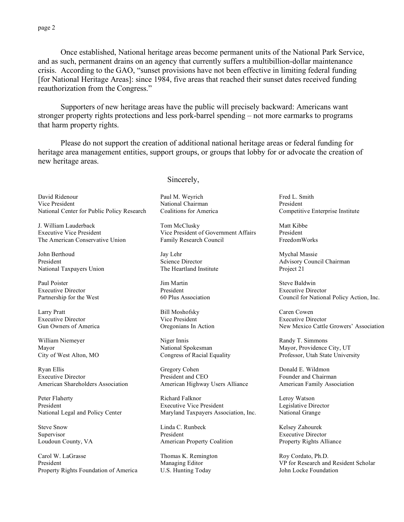Once established, National heritage areas become permanent units of the National Park Service, and as such, permanent drains on an agency that currently suffers a multibillion-dollar maintenance crisis. According to the GAO, "sunset provisions have not been effective in limiting federal funding [for National Heritage Areas]: since 1984, five areas that reached their sunset dates received funding reauthorization from the Congress."

Supporters of new heritage areas have the public will precisely backward: Americans want stronger property rights protections and less pork-barrel spending – not more earmarks to programs that harm property rights.

Please do not support the creation of additional national heritage areas or federal funding for heritage area management entities, support groups, or groups that lobby for or advocate the creation of new heritage areas.

David Ridenour Vice President National Center for Public Policy Research

J. William Lauderback Executive Vice President The American Conservative Union

John Berthoud President National Taxpayers Union

Paul Poister Executive Director Partnership for the West

Larry Pratt Executive Director Gun Owners of America

William Niemeyer Mayor City of West Alton, MO

Ryan Ellis Executive Director American Shareholders Association

Peter Flaherty President National Legal and Policy Center

Steve Snow Supervisor Loudoun County, VA

Carol W. LaGrasse President Property Rights Foundation of America Sincerely,

Paul M. Weyrich National Chairman Coalitions for America

Tom McClusky Vice President of Government Affairs Family Research Council

Jay Lehr Science Director The Heartland Institute

Jim Martin President 60 Plus Association

Bill Moshofsky Vice President Oregonians In Action

Niger Innis National Spokesman Congress of Racial Equality

Gregory Cohen President and CEO American Highway Users Alliance

Richard Falknor Executive Vice President Maryland Taxpayers Association, Inc.

Linda C. Runbeck President American Property Coalition

Thomas K. Remington Managing Editor U.S. Hunting Today

Fred L. Smith President Competitive Enterprise Institute

Matt Kibbe President FreedomWorks

Mychal Massie Advisory Council Chairman Project 21

Steve Baldwin Executive Director Council for National Policy Action, Inc.

Caren Cowen Executive Director New Mexico Cattle Growers' Association

Randy T. Simmons Mayor, Providence City, UT Professor, Utah State University

Donald E. Wildmon Founder and Chairman American Family Association

Leroy Watson Legislative Director National Grange

Kelsey Zahourek Executive Director Property Rights Alliance

Roy Cordato, Ph.D. VP for Research and Resident Scholar John Locke Foundation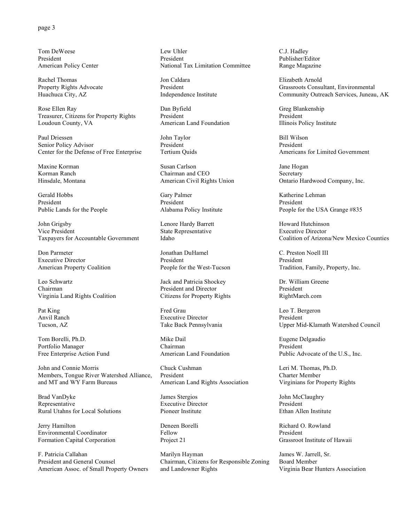## page 3

Tom DeWeese President American Policy Center

Rachel Thomas Property Rights Advocate Huachuca City, AZ

Rose Ellen Ray Treasurer, Citizens for Property Rights Loudoun County, VA

Paul Driessen Senior Policy Advisor Center for the Defense of Free Enterprise

Maxine Korman Korman Ranch Hinsdale, Montana

Gerald Hobbs President Public Lands for the People

John Grigsby Vice President Taxpayers for Accountable Government

Don Parmeter Executive Director American Property Coalition

Leo Schwartz Chairman Virginia Land Rights Coalition

Pat King Anvil Ranch Tucson, AZ

Tom Borelli, Ph.D. Portfolio Manager Free Enterprise Action Fund

John and Connie Morris Members, Tongue River Watershed Alliance, and MT and WY Farm Bureaus

Brad VanDyke Representative Rural Utahns for Local Solutions

Jerry Hamilton Environmental Coordinator Formation Capital Corporation

F. Patricia Callahan President and General Counsel American Assoc. of Small Property Owners

Lew Uhler President National Tax Limitation Committee

Jon Caldara President Independence Institute

Dan Byfield President American Land Foundation

John Taylor President Tertium Quids

Susan Carlson Chairman and CEO American Civil Rights Union

Gary Palmer President Alabama Policy Institute

Lenore Hardy Barrett State Representative Idaho

Jonathan DuHamel President People for the West-Tucson

Jack and Patricia Shockey President and Director Citizens for Property Rights

Fred Grau Executive Director Take Back Pennsylvania

Mike Dail Chairman American Land Foundation

Chuck Cushman President American Land Rights Association

James Stergios Executive Director Pioneer Institute

Deneen Borelli Fellow Project 21

Marilyn Hayman Chairman, Citizens for Responsible Zoning and Landowner Rights

C.J. Hadley Publisher/Editor Range Magazine

Elizabeth Arnold Grassroots Consultant, Environmental Community Outreach Services, Juneau, AK

Greg Blankenship President Illinois Policy Institute

Bill Wilson President Americans for Limited Government

Jane Hogan Secretary Ontario Hardwood Company, Inc.

Katherine Lehman President People for the USA Grange #835

Howard Hutchinson Executive Director Coalition of Arizona/New Mexico Counties

C. Preston Noell III President Tradition, Family, Property, Inc.

Dr. William Greene President RightMarch.com

Leo T. Bergeron President Upper Mid-Klamath Watershed Council

Eugene Delgaudio President Public Advocate of the U.S., Inc.

Leri M. Thomas, Ph.D. Charter Member Virginians for Property Rights

John McClaughry President Ethan Allen Institute

Richard O. Rowland President Grassroot Institute of Hawaii

James W. Jarrell, Sr. Board Member Virginia Bear Hunters Association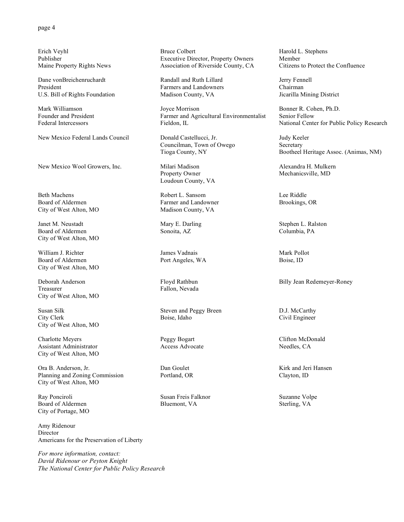Erich Veyhl Publisher Maine Property Rights News

Dane vonBreichenruchardt President U.S. Bill of Rights Foundation

Mark Williamson Founder and President Federal Intercessors

New Mexico Federal Lands Council

New Mexico Wool Growers, Inc.

Beth Machens Board of Aldermen City of West Alton, MO

Janet M. Neustadt Board of Aldermen City of West Alton, MO

William J. Richter Board of Aldermen City of West Alton, MO

Deborah Anderson Treasurer City of West Alton, MO

Susan Silk City Clerk City of West Alton, MO

Charlotte Meyers Assistant Administrator City of West Alton, MO

Ora B. Anderson, Jr. Planning and Zoning Commission City of West Alton, MO

Ray Ponciroli Board of Aldermen City of Portage, MO

Amy Ridenour Director Americans for the Preservation of Liberty

*For more information, contact: David Ridenour or Peyton Knight The National Center for Public Policy Research*

Bruce Colbert Executive Director, Property Owners Association of Riverside County, CA

Randall and Ruth Lillard Farmers and Landowners Madison County, VA

Joyce Morrison Farmer and Agricultural Environmentalist Fieldon, IL

Donald Castellucci, Jr. Councilman, Town of Owego Tioga County, NY

Milari Madison Property Owner Loudoun County, VA

Robert L. Sansom Farmer and Landowner Madison County, VA

Mary E. Darling Sonoita, AZ

James Vadnais Port Angeles, WA

Floyd Rathbun Fallon, Nevada

Steven and Peggy Breen Boise, Idaho

Peggy Bogart Access Advocate

Dan Goulet Portland, OR

Susan Freis Falknor Bluemont, VA

Harold L. Stephens Member Citizens to Protect the Confluence

Jerry Fennell Chairman Jicarilla Mining District

Bonner R. Cohen, Ph.D. Senior Fellow National Center for Public Policy Research

Judy Keeler **Secretary** Bootheel Heritage Assoc. (Animas, NM)

Alexandra H. Mulkern Mechanicsville, MD

Lee Riddle Brookings, OR

Stephen L. Ralston Columbia, PA

Mark Pollot Boise, ID

Billy Jean Redemeyer-Roney

D.J. McCarthy Civil Engineer

Clifton McDonald Needles, CA

Kirk and Jeri Hansen Clayton, ID

Suzanne Volpe Sterling, VA